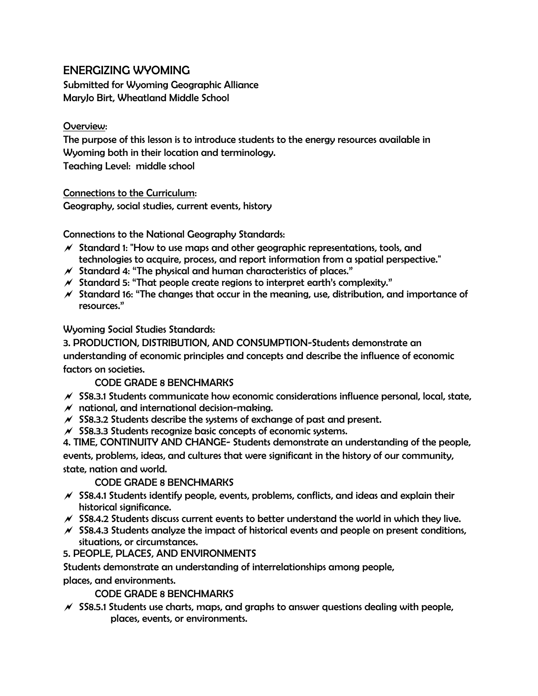# ENERGIZING WYOMING

Submitted for Wyoming Geographic Alliance MaryJo Birt, Wheatland Middle School

# Overview:

The purpose of this lesson is to introduce students to the energy resources available in Wyoming both in their location and terminology. Teaching Level: middle school

Connections to the Curriculum: Geography, social studies, current events, history

Connections to the National Geography Standards:

- $\mathcal N$  Standard 1: "How to use maps and other geographic representations, tools, and technologies to acquire, process, and report information from a spatial perspective."
- $\mathcal N$  Standard 4: "The physical and human characteristics of places."
- $\mathcal N$  Standard 5: "That people create regions to interpret earth's complexity."
- $\mathcal N$  Standard 16: "The changes that occur in the meaning, use, distribution, and importance of resources."

Wyoming Social Studies Standards:

3. PRODUCTION, DISTRIBUTION, AND CONSUMPTION-Students demonstrate an understanding of economic principles and concepts and describe the influence of economic factors on societies.

## CODE GRADE 8 BENCHMARKS

- $\mathcal N$  SS8.3.1 Students communicate how economic considerations influence personal, local, state,
- $M$  national, and international decision-making.
- $\mathcal N$  SS8.3.2 Students describe the systems of exchange of past and present.
- $\mathcal N$  SS8.3.3 Students recognize basic concepts of economic systems.

4. TIME, CONTINUITY AND CHANGE- Students demonstrate an understanding of the people, events, problems, ideas, and cultures that were significant in the history of our community, state, nation and world.

## CODE GRADE 8 BENCHMARKS

- $\chi$  SS8.4.1 Students identify people, events, problems, conflicts, and ideas and explain their historical significance.
- $\mathcal N$  SS8.4.2 Students discuss current events to better understand the world in which they live.
- $\mathcal N$  SS8.4.3 Students analyze the impact of historical events and people on present conditions, situations, or circumstances.
- 5. PEOPLE, PLACES, AND ENVIRONMENTS

Students demonstrate an understanding of interrelationships among people,

places, and environments.

CODE GRADE 8 BENCHMARKS

 $\mathcal N$  SS8.5.1 Students use charts, maps, and graphs to answer questions dealing with people, places, events, or environments.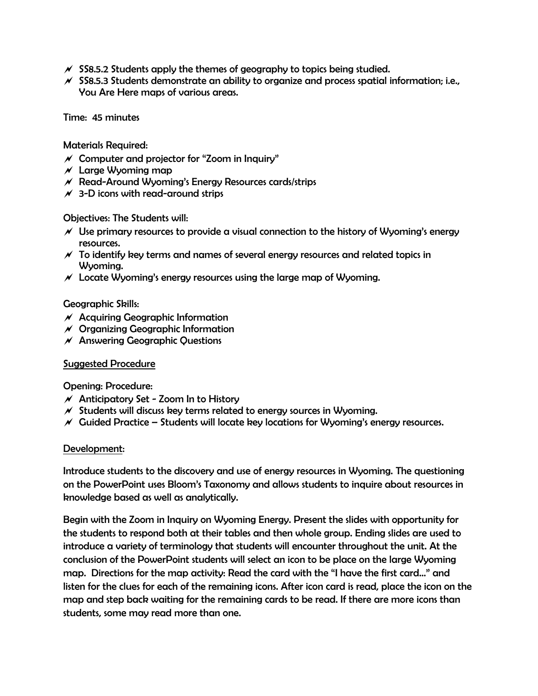- $\mathscr N$  SS8.5.2 Students apply the themes of geography to topics being studied.
- $\mathcal N$  SS8.5.3 Students demonstrate an ability to organize and process spatial information; i.e., You Are Here maps of various areas.

Time: 45 minutes

Materials Required:

- $\mathcal N$  Computer and projector for "Zoom in Inquiry"
- $\times$  Large Wyoming map
- $\mathcal N$  Read-Around Wyoming's Energy Resources cards/strips
- $\times$  3-D icons with read-around strips

Objectives: The Students will:

- $\mathscr N$  Use primary resources to provide a visual connection to the history of Wyoming's energy resources.
- $\mathcal N$  To identify key terms and names of several energy resources and related topics in Wyoming.
- $\mathcal N$  Locate Wyoming's energy resources using the large map of Wyoming.

#### Geographic Skills:

- $M$  Acquiring Geographic Information
- $M$  Organizing Geographic Information
- $\mathcal N$  Answering Geographic Questions

#### Suggested Procedure

#### Opening: Procedure:

- $\mathcal N$  Anticipatory Set Zoom In to History
- $\mathcal N$  Students will discuss key terms related to energy sources in Wyoming.
- $\mathcal N$  Guided Practice Students will locate key locations for Wyoming's energy resources.

#### Development:

Introduce students to the discovery and use of energy resources in Wyoming. The questioning on the PowerPoint uses Bloom's Taxonomy and allows students to inquire about resources in knowledge based as well as analytically.

Begin with the Zoom in Inquiry on Wyoming Energy. Present the slides with opportunity for the students to respond both at their tables and then whole group. Ending slides are used to introduce a variety of terminology that students will encounter throughout the unit. At the conclusion of the PowerPoint students will select an icon to be place on the large Wyoming map. Directions for the map activity: Read the card with the "I have the first card…" and listen for the clues for each of the remaining icons. After icon card is read, place the icon on the map and step back waiting for the remaining cards to be read. If there are more icons than students, some may read more than one.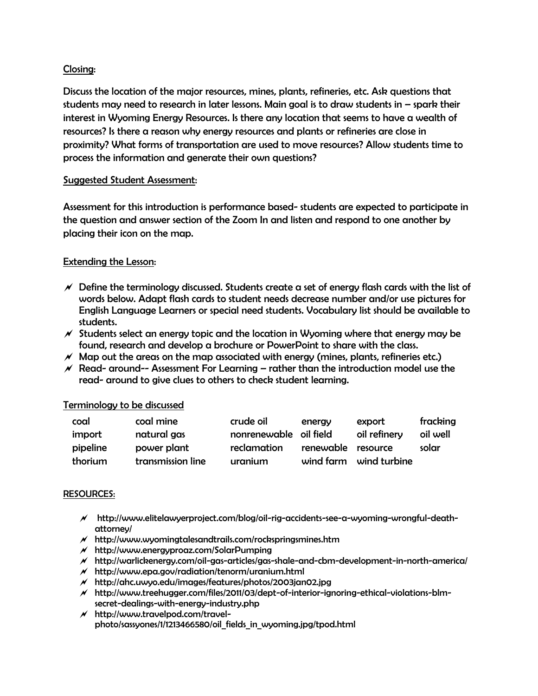### Closing:

Discuss the location of the major resources, mines, plants, refineries, etc. Ask questions that students may need to research in later lessons. Main goal is to draw students in – spark their interest in Wyoming Energy Resources. Is there any location that seems to have a wealth of resources? Is there a reason why energy resources and plants or refineries are close in proximity? What forms of transportation are used to move resources? Allow students time to process the information and generate their own questions?

#### Suggested Student Assessment:

Assessment for this introduction is performance based- students are expected to participate in the question and answer section of the Zoom In and listen and respond to one another by placing their icon on the map.

### Extending the Lesson:

- $\mathcal N$  Define the terminology discussed. Students create a set of energy flash cards with the list of words below. Adapt flash cards to student needs decrease number and/or use pictures for English Language Learners or special need students. Vocabulary list should be available to students.
- $\mathscr N$  Students select an energy topic and the location in Wyoming where that energy may be found, research and develop a brochure or PowerPoint to share with the class.
- $\mathscr M$  Map out the areas on the map associated with energy (mines, plants, refineries etc.)
- $\mathscr N$  Read- around-- Assessment For Learning rather than the introduction model use the read- around to give clues to others to check student learning.

#### Terminology to be discussed

| coal     | coal mine         | crude oil              | energy             | export                 | fracking |
|----------|-------------------|------------------------|--------------------|------------------------|----------|
| import   | natural gas       | nonrenewable oil field |                    | oil refinery           | oil well |
| pipeline | power plant       | reclamation            | renewable resource |                        | solar    |
| thorium  | transmission line | uranium                |                    | wind farm wind turbine |          |

#### RESOURCES:

- http://www.elitelawyerproject.com/blog/oil-rig-accidents-see-a-wyoming-wrongful-deathattorney/
- $M$  http://www.wyomingtalesandtrails.com/rockspringsmines.htm
- $M$  http://www.energyproaz.com/SolarPumping
- http://warlickenergy.com/oil-gas-articles/gas-shale-and-cbm-development-in-north-america/
- $M$  http://www.epa.gov/radiation/tenorm/uranium.html
- $M$  http://ahc.uwyo.edu/images/features/photos/2003jan02.jpg
- http://www.treehugger.com/files/2011/03/dept-of-interior-ignoring-ethical-violations-blmsecret-dealings-with-energy-industry.php
- $M$  http://www.travelpod.com/travelphoto/sassyones/1/1213466580/oil\_fields\_in\_wyoming.jpg/tpod.html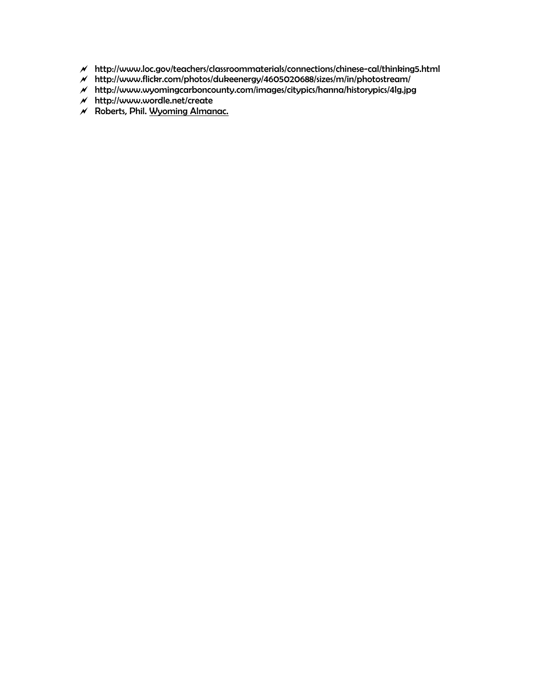- http://www.loc.gov/teachers/classroommaterials/connections/chinese-cal/thinking5.html
- http://www.flickr.com/photos/dukeenergy/4605020688/sizes/m/in/photostream/
- http://www.wyomingcarboncounty.com/images/citypics/hanna/historypics/4lg.jpg
- $M$  http://www.wordle.net/create
- $M$  Roberts, Phil. Wyoming Almanac.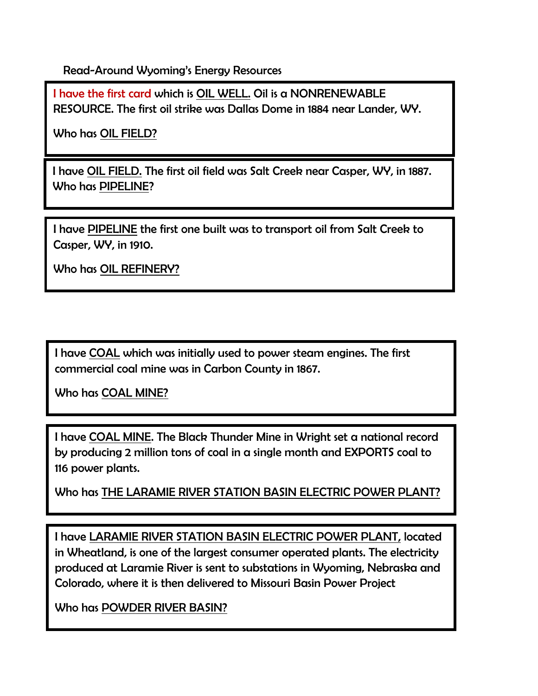Read-Around Wyoming's Energy Resources

I have the first card which is OIL WELL. Oil is a NONRENEWABLE RESOURCE. The first oil strike was Dallas Dome in 1884 near Lander, WY.

Who has OIL FIELD?

I have OIL FIELD. The first oil field was Salt Creek near Casper, WY, in 1887. Who has PIPELINE?

I have PIPELINE the first one built was to transport oil from Salt Creek to Casper, WY, in 1910.

Who has OIL REFINERY?

I have COAL which was initially used to power steam engines. The first commercial coal mine was in Carbon County in 1867.

Who has COAL MINE?

I have COAL MINE. The Black Thunder Mine in Wright set a national record by producing 2 million tons of coal in a single month and EXPORTS coal to 116 power plants.

Who has THE LARAMIE RIVER STATION BASIN ELECTRIC POWER PLANT?

I have LARAMIE RIVER STATION BASIN ELECTRIC POWER PLANT, located in Wheatland, is one of the largest consumer operated plants. The electricity produced at Laramie River is sent to substations in Wyoming, Nebraska and Colorado, where it is then delivered to Missouri Basin Power Project

Who has POWDER RIVER BASIN?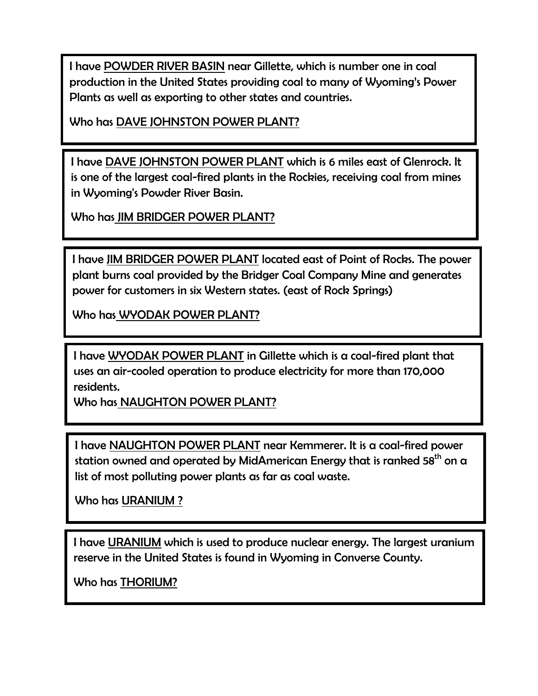I have POWDER RIVER BASIN near Gillette, which is number one in coal production in the United States providing coal to many of Wyoming's Power Plants as well as exporting to other states and countries.

Who has DAVE JOHNSTON POWER PLANT?

I have DAVE JOHNSTON POWER PLANT which is 6 miles east of Glenrock. It is one of the largest coal-fired plants in the Rockies, receiving coal from mines in Wyoming's Powder River Basin.

Who has JIM BRIDGER POWER PLANT?

I have JIM BRIDGER POWER PLANT located east of Point of Rocks. The power plant burns coal provided by the Bridger Coal Company Mine and generates power for customers in six Western states. (east of Rock Springs)

Who has WYODAK POWER PLANT?

I have WYODAK POWER PLANT in Gillette which is a coal-fired plant that uses an air-cooled operation to produce electricity for more than 170,000 residents.

Who has NAUGHTON POWER PLANT?

I have NAUGHTON POWER PLANT near Kemmerer. It is a coal-fired power station owned and operated by [MidAmerican Energy](http://www.sourcewatch.org/index.php?title=MidAmerican_Energy) that is ranked  $58^{th}$  on a list of most polluting power plants as far as coal waste.

Who has URANIUM ?

I have URANIUM which is used to produce nuclear energy. The largest uranium reserve in the United States is found in Wyoming in Converse County.

Who has THORIUM?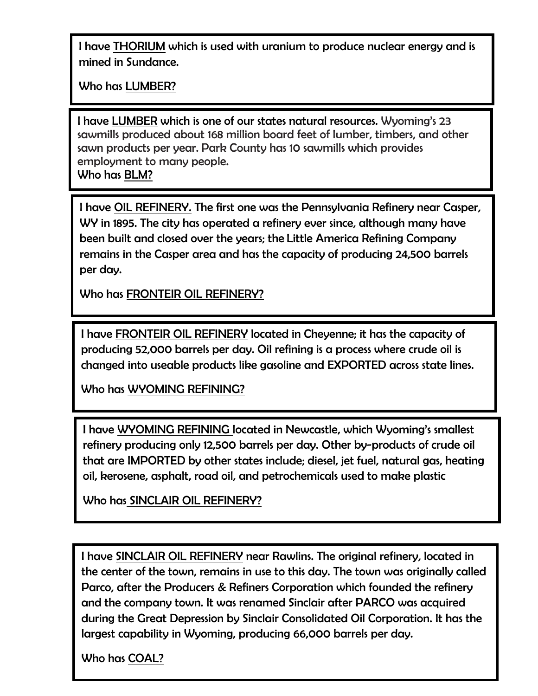I have THORIUM which is used with uranium to produce nuclear energy and is mined in Sundance.

Who has LUMBER?

I have LUMBER which is one of our states natural resources. Wyoming's 23 sawmills produced about 168 million board feet of lumber, timbers, and other sawn products per year. Park County has 10 sawmills which provides employment to many people. Who has BLM?

I have OIL REFINERY. The first one was the Pennsylvania Refinery near Casper, WY in 1895. The city has operated a refinery ever since, although many have been built and closed over the years; the Little America Refining Company remains in the Casper area and has the capacity of producing 24,500 barrels per day.

Who has FRONTEIR OIL REFINERY?

I have FRONTEIR OIL REFINERY located in Cheyenne; it has the capacity of producing 52,000 barrels per day. Oil refining is a process where crude oil is changed into useable products like gasoline and EXPORTED across state lines.

Who has WYOMING REFINING?

I have WYOMING REFINING located in Newcastle, which Wyoming's smallest refinery producing only 12,500 barrels per day. Other by-products of crude oil that are IMPORTED by other states include; diesel, jet fuel, natural gas, heating oil, kerosene, asphalt, road oil, and petrochemicals used to make plastic

Who has SINCLAIR OIL REFINERY?

I have SINCLAIR OIL REFINERY near Rawlins. The original refinery, located in the center of the town, remains in use to this day. The town was originally called Parco, after the Producers & Refiners Corporation which founded the refinery and the company town. It was renamed Sinclair after PARCO was acquired during the [Great Depression](http://en.wikipedia.org/wiki/Great_Depression) by [Sinclair Consolidated Oil Corporation.](http://en.wikipedia.org/wiki/Sinclair_Oil) It has the largest capability in Wyoming, producing 66,000 barrels per day.

Who has COAL?